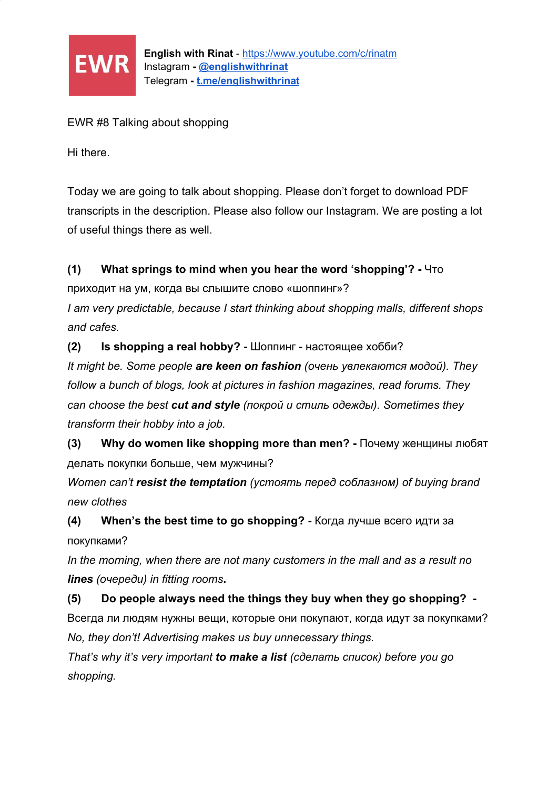

EWR #8 Talking about shopping

Hi there.

Today we are going to talk about shopping. Please don't forget to download PDF transcripts in the description. Please also follow our Instagram. We are posting a lot of useful things there as well.

## **(1) What springs to mind when you hear the word 'shopping'? -** Что

приходит на ум, когда вы слышите слово «шоппинг»?

*I am very predictable, because I start thinking about shopping malls, different shops and cafes.*

**(2) Is shopping a real hobby? -** Шоппинг - настоящее хобби?

*It might be. Some people are keen on fashion (очень увлекаются модой). They follow a bunch of blogs, look at pictures in fashion magazines, read forums. They can choose the best cut and style (покрой и стиль одежды). Sometimes they transform their hobby into a job.*

**(3) Why do women like shopping more than men? -** Почему женщины любят делать покупки больше, чем мужчины?

*Women can't resist the temptation (устоять перед соблазном) of buying brand new clothes*

**(4) When's the best time to go shopping? -** Когда лучше всего идти за покупками?

*In the morning, when there are not many customers in the mall and as a result no lines (очереди) in fitting rooms***.**

**(5) Do people always need the things they buy when they go shopping? -** Всегда ли людям нужны вещи, которые они покупают, когда идут за покупками? *No, they don't! Advertising makes us buy unnecessary things.*

*That's why it's very important to make a list (сделать список) before you go shopping.*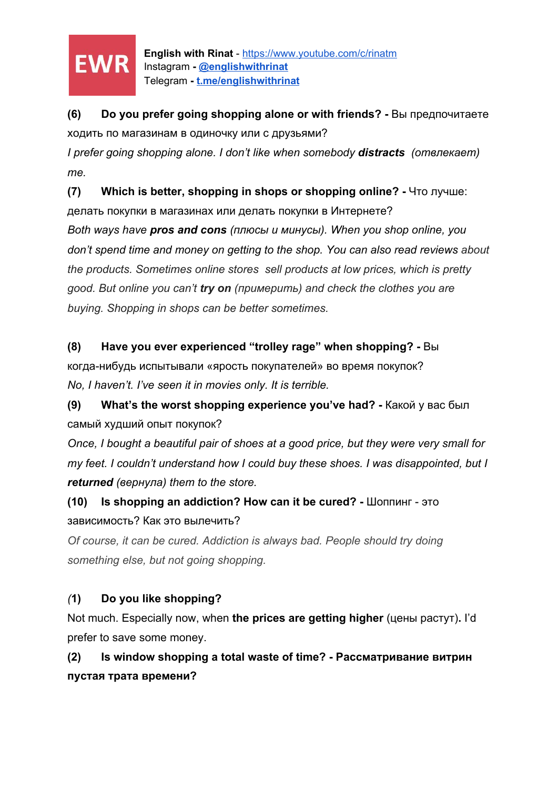

**English with Rinat** - <https://www.youtube.com/c/rinatm> Instagram **- [@englishwithrinat](https://instagram.com/englishwithrinat)** Telegram **- [t.me/englishwithrinat](https://t.me/englishwithrinat)**

**(6) Do you prefer going shopping alone or with friends? -** Вы предпочитаете ходить по магазинам в одиночку или с друзьями?

*I prefer going shopping alone. I don't like when somebody distracts (отвлекает) me.*

**(7) Which is better, shopping in shops or shopping online? -** Что лучше:

делать покупки в магазинах или делать покупки в Интернете? *Both ways have pros and cons (плюсы и минусы). When you shop online, you don't spend time and money on getting to the shop. You can also read reviews about the products. Sometimes online stores sell products at low prices, which is pretty good. But online you can't try on (примерить) and check the clothes you are buying. Shopping in shops can be better sometimes.*

**(8) Have you ever experienced "trolley rage" when shopping? -** Вы

когда-нибудь испытывали «ярость покупателей» во время покупок? *No, I haven't. I've seen it in movies only. It is terrible.*

**(9) What's the worst shopping experience you've had? -** Какой у вас был самый худший опыт покупок?

*Once, I bought a beautiful pair of shoes at a good price, but they were very small for my feet. I couldn't understand how I could buy these shoes. I was disappointed, but I returned (вернула) them to the store.*

**(10) Is shopping an addiction? How can it be cured? -** Шоппинг - это зависимость? Как это вылечить?

*Of course, it can be cured. Addiction is always bad. People should try doing something else, but not going shopping.*

## *(***1) Do you like shopping?**

Not much. Especially now, when **the prices are getting higher** (цены растут)**.** I'd prefer to save some money.

**(2) Is window shopping a total waste of time? - Рассматривание витрин пустая трата времени?**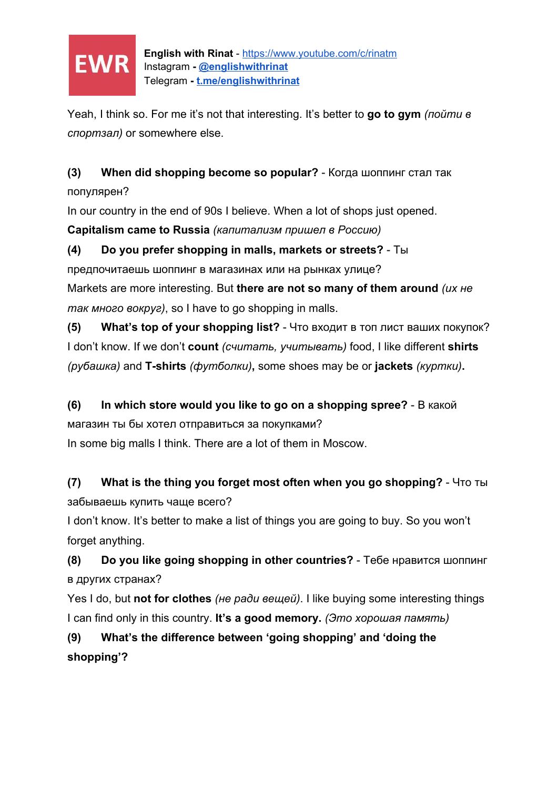

Yeah, I think so. For me it's not that interesting. It's better to **go to gym** *(пойти в спортзал)* or somewhere else.

**(3) When did shopping become so popular?** - Когда шоппинг стал так популярен?

In our country in the end of 90s I believe. When a lot of shops just opened. **Capitalism came to Russia** *(капитализм пришел в Россию)*

**(4) Do you prefer shopping in malls, markets or streets?** - Ты предпочитаешь шоппинг в магазинах или на рынках улице? Markets are more interesting. But **there are not so many of them around** *(их не так много вокруг)*, so I have to go shopping in malls.

**(5) What's top of your shopping list?** - Что входит в топ лист ваших покупок? I don't know. If we don't **count** *(считать, учитывать)* food, I like different **shirts** *(рубашка)* and **T-shirts** *(футболки)***,** some shoes may be or **jackets** *(куртки)***.**

## **(6) In which store would you like to go on a shopping spree?** - В какой

магазин ты бы хотел отправиться за покупками?

In some big malls I think. There are a lot of them in Moscow.

**(7) What is the thing you forget most often when you go shopping?** - Что ты забываешь купить чаще всего?

I don't know. It's better to make a list of things you are going to buy. So you won't forget anything.

**(8) Do you like going shopping in other countries?** - Тебе нравится шоппинг в других странах?

Yes I do, but **not for clothes** *(не ради вещей)*. I like buying some interesting things I can find only in this country. **It's a good memory.** *(Это хорошая память)*

**(9) What's the difference between 'going shopping' and 'doing the shopping'?**